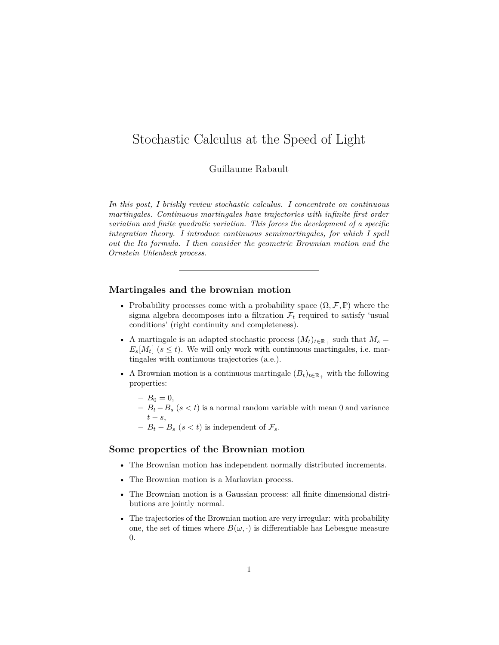# <span id="page-0-0"></span>Stochastic Calculus at the Speed of Light

Guillaume Rabault

*In this post, I briskly review stochastic calculus. I concentrate on continuous martingales. Continuous martingales have trajectories with infinite first order variation and finite quadratic variation. This forces the development of a specific integration theory. I introduce continuous semimartingales, for which I spell out the Ito formula. I then consider the geometric Brownian motion and the Ornstein Uhlenbeck process.*

## **Martingales and the brownian motion**

- Probability processes come with a probability space  $(\Omega, \mathcal{F}, \mathbb{P})$  where the sigma algebra decomposes into a filtration  $\mathcal{F}_t$  required to satisfy 'usual conditions' (right continuity and completeness).
- A martingale is an adapted stochastic process  $(M_t)_{t \in \mathbb{R}_+}$  such that  $M_s =$  $E_s[M_t]$  ( $s \leq t$ ). We will only work with continuous martingales, i.e. martingales with continuous trajectories (a.e.).
- A Brownian motion is a continuous martingale  $(B_t)_{t \in \mathbb{R}_+}$  with the following properties:
	- $B_0 = 0,$
	- **–** *B<sup>t</sup>* −*B<sup>s</sup>* (*s < t*) is a normal random variable with mean 0 and variance  $t - s$ ,
	- −  $B_t B_s$  ( $s < t$ ) is independent of  $\mathcal{F}_s$ .

## **Some properties of the Brownian motion**

- The Brownian motion has independent normally distributed increments.
- The Brownian motion is a Markovian process.
- The Brownian motion is a Gaussian process: all finite dimensional distributions are jointly normal.
- The trajectories of the Brownian motion are very irregular: with probability one, the set of times where  $B(\omega, \cdot)$  is differentiable has Lebesgue measure 0.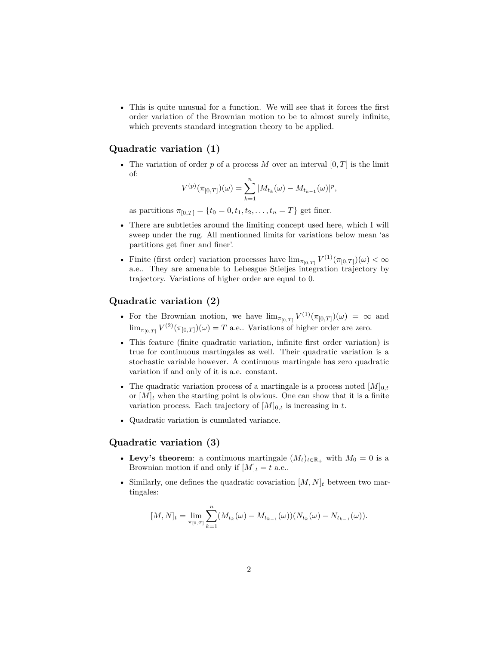• This is quite unusual for a function. We will see that it forces the first order variation of the Brownian motion to be to almost surely infinite, which prevents standard integration theory to be applied.

## **Quadratic variation (1)**

• The variation of order  $p$  of a process  $M$  over an interval  $[0, T]$  is the limit of:

$$
V^{(p)}(\pi_{[0,T]})(\omega) = \sum_{k=1}^{n} |M_{t_k}(\omega) - M_{t_{k-1}}(\omega)|^p,
$$

as partitions  $\pi_{[0,T]} = \{t_0 = 0, t_1, t_2, \ldots, t_n = T\}$  get finer.

- There are subtleties around the limiting concept used here, which I will sweep under the rug. All mentionned limits for variations below mean 'as partitions get finer and finer'.
- Finite (first order) variation processes have  $\lim_{\pi_{[0,T]}} V^{(1)}(\pi_{[0,T]})(\omega) < \infty$ a.e.. They are amenable to Lebesgue Stieljes integration trajectory by trajectory. Variations of higher order are equal to 0.

### **Quadratic variation (2)**

- For the Brownian motion, we have  $\lim_{\pi_{[0,T]}} V^{(1)}(\pi_{[0,T]}) (\omega) = \infty$  and  $\lim_{\pi_{[0,T]} V^{(2)}(\pi_{[0,T]})(\omega) = T$  a.e.. Variations of higher order are zero.
- This feature (finite quadratic variation, infinite first order variation) is true for continuous martingales as well. Their quadratic variation is a stochastic variable however. A continuous martingale has zero quadratic variation if and only of it is a.e. constant.
- The quadratic variation process of a martingale is a process noted  $[M]_{0,t}$ or  $[M]_t$  when the starting point is obvious. One can show that it is a finite variation process. Each trajectory of  $[M]_{0,t}$  is increasing in t.
- Quadratic variation is cumulated variance.

## **Quadratic variation (3)**

- Levy's theorem: a continuous martingale  $(M_t)_{t \in \mathbb{R}_+}$  with  $M_0 = 0$  is a Brownian motion if and only if  $[M]_t = t$  a.e..
- Similarly, one defines the quadratic covariation  $[M, N]_t$  between two martingales:

$$
[M,N]_t = \lim_{\pi_{[0,T]}} \sum_{k=1}^n (M_{t_k}(\omega) - M_{t_{k-1}}(\omega))(N_{t_k}(\omega) - N_{t_{k-1}}(\omega)).
$$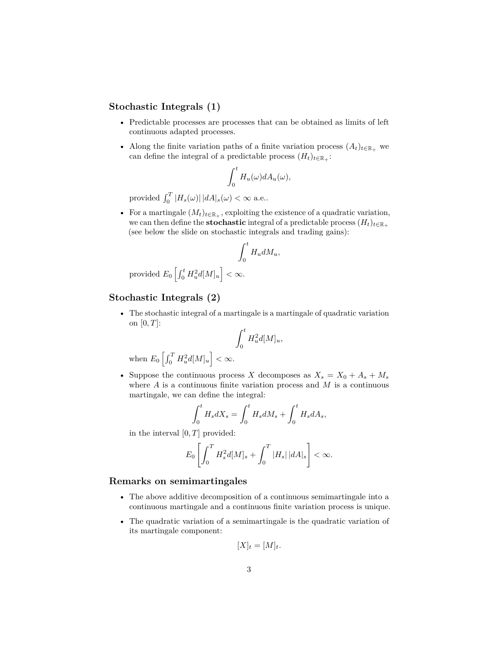## **Stochastic Integrals (1)**

- Predictable processes are processes that can be obtained as limits of left continuous adapted processes.
- Along the finite variation paths of a finite variation process  $(A_t)_{t \in \mathbb{R}_+}$  we can define the integral of a predictable process  $(H_t)_{t \in \mathbb{R}_+}$ :

$$
\int_0^t H_u(\omega) dA_u(\omega),
$$

provided  $\int_0^T |H_s(\omega)| |dA|_s(\omega) < \infty$  a.e..

• For a martingale  $(M_t)_{t \in \mathbb{R}_+}$ , exploiting the existence of a quadratic variation, we can then define the **stochastic** integral of a predictable process  $(H_t)_{t \in \mathbb{R}_+}$ (see below the slide on stochastic integrals and trading gains):

$$
\int_0^t H_u dM_u,
$$

provided 
$$
E_0 \left[ \int_0^t H_u^2 d[M]_u \right] < \infty
$$
.

# **Stochastic Integrals (2)**

• The stochastic integral of a martingale is a martingale of quadratic variation on [0*, T*]:

$$
\int_0^t H_u^2 d[M]_u,
$$

when  $E_0 \left[ \int_0^T H_u^2 d[M]_u \right] < \infty$ .

• Suppose the continuous process *X* decomposes as  $X_s = X_0 + A_s + M_s$ where  $A$  is a continuous finite variation process and  $M$  is a continuous martingale, we can define the integral:

$$
\int_0^t H_s dX_s = \int_0^t H_s dM_s + \int_0^t H_s dA_s,
$$

in the interval [0*, T*] provided:

$$
E_0\left[\int_0^T H_s^2 d[M]_s + \int_0^T |H_s| \, |dA|_s\right] < \infty.
$$

## **Remarks on semimartingales**

- The above additive decomposition of a continuous semimartingale into a continuous martingale and a continuous finite variation process is unique.
- The quadratic variation of a semimartingale is the quadratic variation of its martingale component:

$$
[X]_t = [M]_t.
$$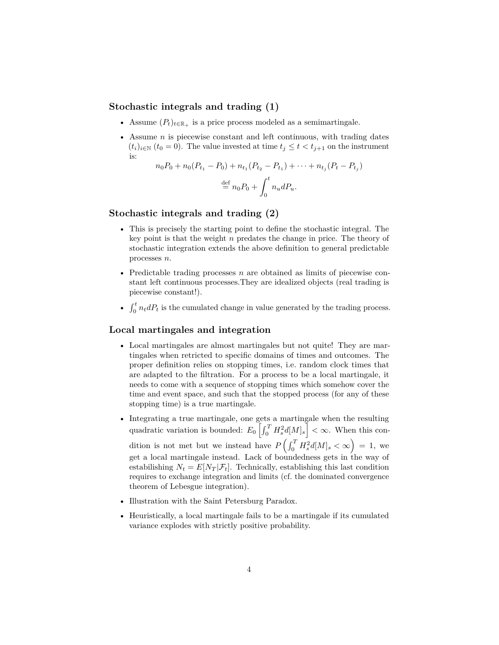# **Stochastic integrals and trading (1)**

- Assume  $(P_t)_{t \in \mathbb{R}_+}$  is a price process modeled as a semimartingale.
- Assume *n* is piecewise constant and left continuous, with trading dates  $(t_i)_{i \in \mathbb{N}}$   $(t_0 = 0)$ . The value invested at time  $t_j \leq t < t_{j+1}$  on the instrument is:

$$
n_0 P_0 + n_0 (P_{t_1} - P_0) + n_{t_1} (P_{t_2} - P_{t_1}) + \dots + n_{t_j} (P_t - P_{t_j})
$$
  

$$
\stackrel{\text{def}}{=} n_0 P_0 + \int_0^t n_u dP_u.
$$

## **Stochastic integrals and trading (2)**

- This is precisely the starting point to define the stochastic integral. The key point is that the weight *n* predates the change in price. The theory of stochastic integration extends the above definition to general predictable processes *n*.
- Predictable trading processes *n* are obtained as limits of piecewise constant left continuous processes.They are idealized objects (real trading is piecewise constant!).
- $\int_0^t n_t dP_t$  is the cumulated change in value generated by the trading process.

#### **Local martingales and integration**

- Local martingales are almost martingales but not quite! They are martingales when retricted to specific domains of times and outcomes. The proper definition relies on stopping times, i.e. random clock times that are adapted to the filtration. For a process to be a local martingale, it needs to come with a sequence of stopping times which somehow cover the time and event space, and such that the stopped process (for any of these stopping time) is a true martingale.
- Integrating a true martingale, one gets a martingale when the resulting quadratic variation is bounded:  $E_0 \left[ \int_0^T H_s^2 d[M]_s \right] < \infty$ . When this condition is not met but we instead have  $P\left(\int_0^T H_s^2 d[M]_s < \infty\right) = 1$ , we get a local martingale instead. Lack of boundedness gets in the way of estabilishing  $N_t = E[N_T|\mathcal{F}_t]$ . Technically, establishing this last condition requires to exchange integration and limits (cf. the dominated convergence theorem of Lebesgue integration).
- Illustration with the Saint Petersburg Paradox.
- Heuristically, a local martingale fails to be a martingale if its cumulated variance explodes with strictly positive probability.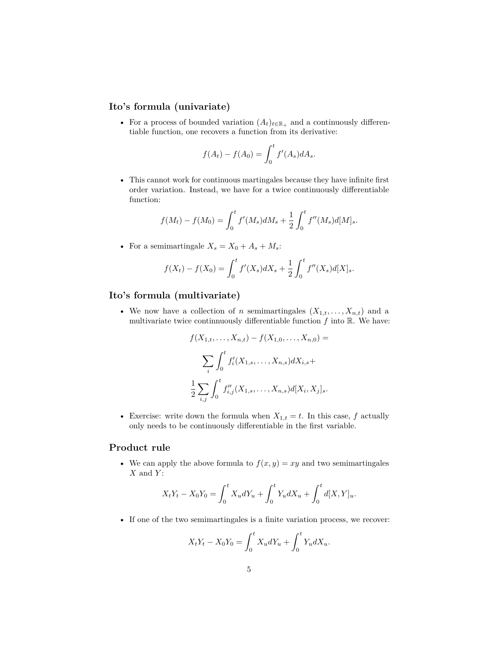## **Ito's formula (univariate)**

• For a process of bounded variation  $(A_t)_{t \in \mathbb{R}_+}$  and a continuously differentiable function, one recovers a function from its derivative:

$$
f(A_t) - f(A_0) = \int_0^t f'(A_s) dA_s.
$$

• This cannot work for continuous martingales because they have infinite first order variation. Instead, we have for a twice continuously differentiable function:

$$
f(M_t) - f(M_0) = \int_0^t f'(M_s) dM_s + \frac{1}{2} \int_0^t f''(M_s) d[M]_s.
$$

• For a semimartingale  $X_s = X_0 + A_s + M_s$ :

$$
f(X_t) - f(X_0) = \int_0^t f'(X_s) dX_s + \frac{1}{2} \int_0^t f''(X_s) d[X]_s.
$$

## **Ito's formula (multivariate)**

• We now have a collection of *n* semimartingales  $(X_{1,t},...,X_{n,t})$  and a multivariate twice continnuously differentiable function  $f$  into  $\mathbb{R}$ . We have:

$$
f(X_{1,t},\ldots,X_{n,t}) - f(X_{1,0},\ldots,X_{n,0}) =
$$

$$
\sum_{i} \int_{0}^{t} f'_{i}(X_{1,s},\ldots,X_{n,s}) dX_{i,s} +
$$

$$
\frac{1}{2} \sum_{i,j} \int_{0}^{t} f''_{i,j}(X_{1,s},\ldots,X_{n,s}) d[X_{i},X_{j}]_{s}.
$$

• Exercise: write down the formula when  $X_{1,t} = t$ . In this case,  $f$  actually only needs to be continuously differentiable in the first variable.

## **Product rule**

• We can apply the above formula to  $f(x, y) = xy$  and two semimartingales *X* and *Y* :

$$
X_t Y_t - X_0 Y_0 = \int_0^t X_u dY_u + \int_0^t Y_u dX_u + \int_0^t d[X, Y]_u.
$$

• If one of the two semimartingales is a finite variation process, we recover:

$$
X_t Y_t - X_0 Y_0 = \int_0^t X_u dY_u + \int_0^t Y_u dX_u.
$$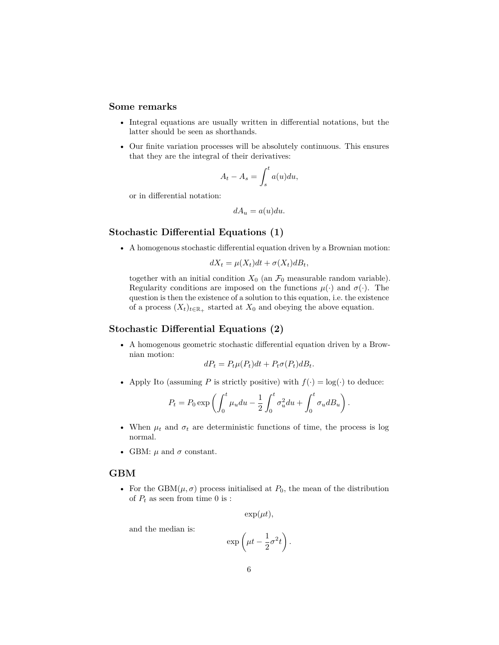## **Some remarks**

- Integral equations are usually written in differential notations, but the latter should be seen as shorthands.
- Our finite variation processes will be absolutely continuous. This ensures that they are the integral of their derivatives:

$$
A_t - A_s = \int_s^t a(u) du,
$$

or in differential notation:

$$
dA_u = a(u)du.
$$

## **Stochastic Differential Equations (1)**

• A homogenous stochastic differential equation driven by a Brownian motion:

$$
dX_t = \mu(X_t)dt + \sigma(X_t)dB_t,
$$

together with an initial condition  $X_0$  (an  $\mathcal{F}_0$  measurable random variable). Regularity conditions are imposed on the functions  $\mu(\cdot)$  and  $\sigma(\cdot)$ . The question is then the existence of a solution to this equation, i.e. the existence of a process  $(X_t)_{t \in \mathbb{R}_+}$  started at  $X_0$  and obeying the above equation.

#### **Stochastic Differential Equations (2)**

• A homogenous geometric stochastic differential equation driven by a Brownian motion:

$$
dP_t = P_t \mu(P_t) dt + P_t \sigma(P_t) dB_t.
$$

• Apply Ito (assuming *P* is strictly positive) with  $f(\cdot) = \log(\cdot)$  to deduce:

$$
P_t = P_0 \exp\left(\int_0^t \mu_u du - \frac{1}{2} \int_0^t \sigma_u^2 du + \int_0^t \sigma_u dB_u\right).
$$

- When  $\mu_t$  and  $\sigma_t$  are deterministic functions of time, the process is log normal.
- GBM:  $\mu$  and  $\sigma$  constant.

#### **GBM**

• For the  $GBM(\mu, \sigma)$  process initialised at  $P_0$ , the mean of the distribution of  $P_t$  as seen from time 0 is :

$$
\exp(\mu t),
$$

and the median is:

$$
\exp\left(\mu t - \frac{1}{2}\sigma^2 t\right).
$$